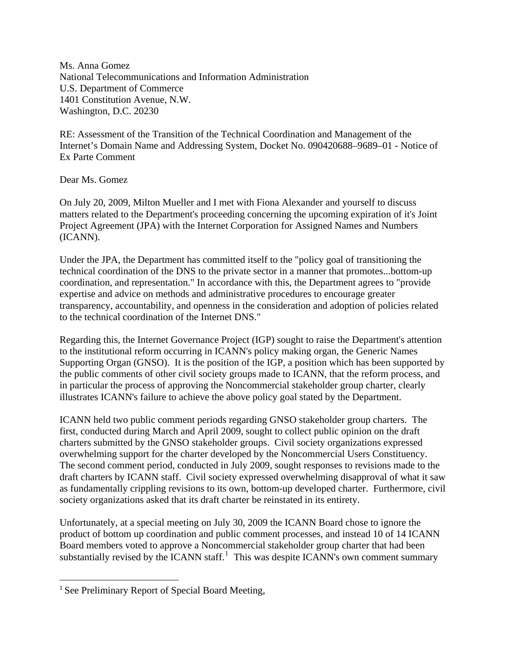Ms. Anna Gomez National Telecommunications and Information Administration U.S. Department of Commerce 1401 Constitution Avenue, N.W. Washington, D.C. 20230

RE: Assessment of the Transition of the Technical Coordination and Management of the Internet's Domain Name and Addressing System, Docket No. 090420688–9689–01 - Notice of Ex Parte Comment

Dear Ms. Gomez

On July 20, 2009, Milton Mueller and I met with Fiona Alexander and yourself to discuss matters related to the Department's proceeding concerning the upcoming expiration of it's Joint Project Agreement (JPA) with the Internet Corporation for Assigned Names and Numbers (ICANN).

Under the JPA, the Department has committed itself to the "policy goal of transitioning the technical coordination of the DNS to the private sector in a manner that promotes...bottom-up coordination, and representation." In accordance with this, the Department agrees to "provide expertise and advice on methods and administrative procedures to encourage greater transparency, accountability, and openness in the consideration and adoption of policies related to the technical coordination of the Internet DNS."

Regarding this, the Internet Governance Project (IGP) sought to raise the Department's attention to the institutional reform occurring in ICANN's policy making organ, the Generic Names Supporting Organ (GNSO). It is the position of the IGP, a position which has been supported by the public comments of other civil society groups made to ICANN, that the reform process, and in particular the process of approving the Noncommercial stakeholder group charter, clearly illustrates ICANN's failure to achieve the above policy goal stated by the Department.

ICANN held two public comment periods regarding GNSO stakeholder group charters. The first, conducted during March and April 2009, sought to collect public opinion on the draft charters submitted by the GNSO stakeholder groups. Civil society organizations expressed overwhelming support for the charter developed by the Noncommercial Users Constituency. The second comment period, conducted in July 2009, sought responses to revisions made to the draft charters by ICANN staff. Civil society expressed overwhelming disapproval of what it saw as fundamentally crippling revisions to its own, bottom-up developed charter. Furthermore, civil society organizations asked that its draft charter be reinstated in its entirety.

Unfortunately, at a special meeting on July 30, 2009 the ICANN Board chose to ignore the product of bottom up coordination and public comment processes, and instead 10 of 14 ICANN Board members voted to approve a Noncommercial stakeholder group charter that had been substantially revised by the ICANN staff. $<sup>1</sup>$  $<sup>1</sup>$  $<sup>1</sup>$  This was despite ICANN's own comment summary</sup>

<span id="page-0-0"></span><sup>&</sup>lt;sup>1</sup> See Preliminary Report of Special Board Meeting,